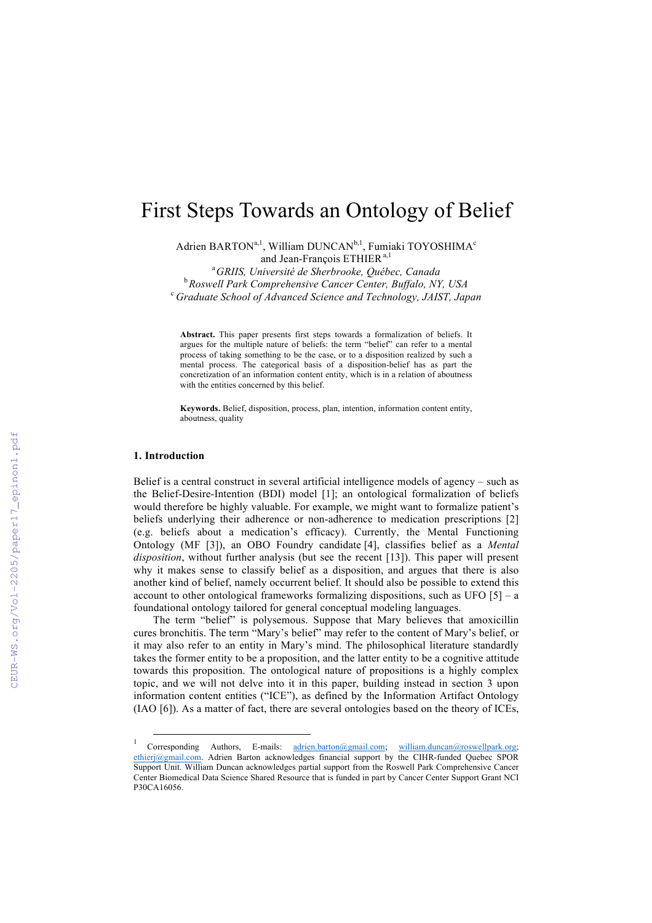# First Steps Towards an Ontology of Belief

Adrien BARTON<sup>a, 1</sup>, William DUNCAN<sup>b, 1</sup>, Fumiaki TOYOSHIMA<sup>c</sup> and Jean-François ETHIER<sup>a,1</sup>

a *GRIIS, Université de Sherbrooke, Québec, Canada* <sup>b</sup> Roswell Park Comprehensive Cancer Center, Buffalo, NY, USA<br><sup>c</sup> Cynduate Sebool of Advanced Seignes and Technology, 1415T, Icn *Graduate School of Advanced Science and Technology, JAIST, Japan*

**Abstract.** This paper presents first steps towards a formalization of beliefs. It argues for the multiple nature of beliefs: the term "belief" can refer to a mental process of taking something to be the case, or to a disposition realized by such a mental process. The categorical basis of a disposition-belief has as part the concretization of an information content entity, which is in a relation of aboutness with the entities concerned by this belief.

**Keywords.** Belief, disposition, process, plan, intention, information content entity, aboutness, quality

#### **1. Introduction**

Belief is a central construct in several artificial intelligence models of agency – such as the Belief-Desire-Intention (BDI) model [1]; an ontological formalization of beliefs would therefore be highly valuable. For example, we might want to formalize patient's beliefs underlying their adherence or non-adherence to medication prescriptions [2] (e.g. beliefs about a medication's efficacy). Currently, the Mental Functioning Ontology (MF [3]), an OBO Foundry candidate [4], classifies belief as a *Mental disposition*, without further analysis (but see the recent [13]). This paper will present why it makes sense to classify belief as a disposition, and argues that there is also another kind of belief, namely occurrent belief. It should also be possible to extend this account to other ontological frameworks formalizing dispositions, such as UFO  $[5]$  – a foundational ontology tailored for general conceptual modeling languages.

The term "belief" is polysemous. Suppose that Mary believes that amoxicillin cures bronchitis. The term "Mary's belief" may refer to the content of Mary's belief, or it may also refer to an entity in Mary's mind. The philosophical literature standardly takes the former entity to be a proposition, and the latter entity to be a cognitive attitude towards this proposition. The ontological nature of propositions is a highly complex topic, and we will not delve into it in this paper, building instead in section 3 upon information content entities ("ICE"), as defined by the Information Artifact Ontology (IAO [6]). As a matter of fact, there are several ontologies based on the theory of ICEs,

Corresponding Authors, E-mails: adrien.barton@gmail.com; william.duncan@roswellpark.org; ethierj@gmail.com. Adrien Barton acknowledges financial support by the CIHR-funded Quebec SPOR Support Unit. William Duncan acknowledges partial support from the Roswell Park Comprehensive Cancer Center Biomedical Data Science Shared Resource that is funded in part by Cancer Center Support Grant NCI P30CA16056.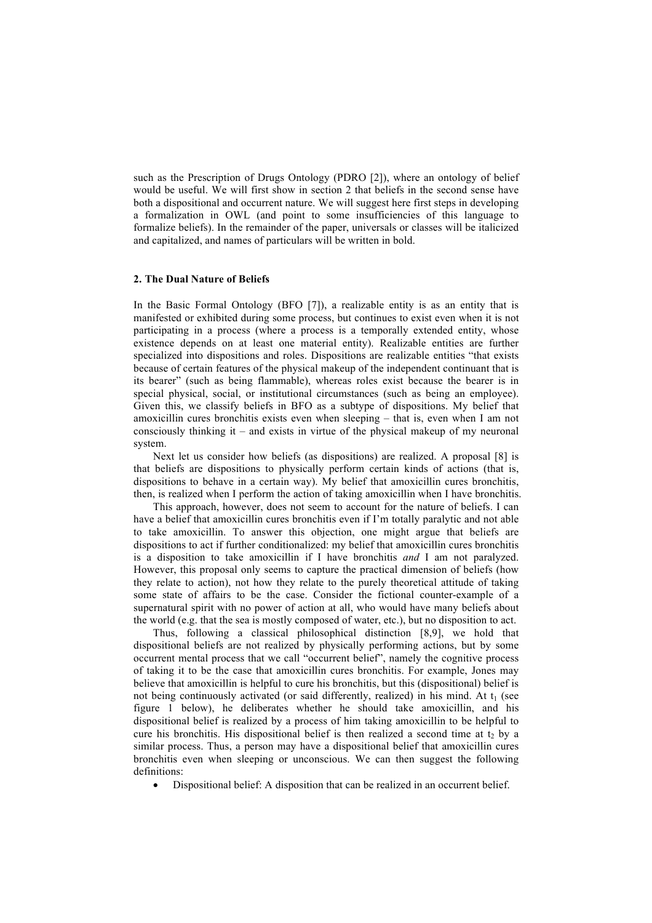such as the Prescription of Drugs Ontology (PDRO [2]), where an ontology of belief would be useful. We will first show in section 2 that beliefs in the second sense have both a dispositional and occurrent nature. We will suggest here first steps in developing a formalization in OWL (and point to some insufficiencies of this language to formalize beliefs). In the remainder of the paper, universals or classes will be italicized and capitalized, and names of particulars will be written in bold.

#### **2. The Dual Nature of Beliefs**

In the Basic Formal Ontology (BFO [7]), a realizable entity is as an entity that is manifested or exhibited during some process, but continues to exist even when it is not participating in a process (where a process is a temporally extended entity, whose existence depends on at least one material entity). Realizable entities are further specialized into dispositions and roles. Dispositions are realizable entities "that exists because of certain features of the physical makeup of the independent continuant that is its bearer" (such as being flammable), whereas roles exist because the bearer is in special physical, social, or institutional circumstances (such as being an employee). Given this, we classify beliefs in BFO as a subtype of dispositions. My belief that amoxicillin cures bronchitis exists even when sleeping – that is, even when I am not consciously thinking it – and exists in virtue of the physical makeup of my neuronal system.

Next let us consider how beliefs (as dispositions) are realized. A proposal [8] is that beliefs are dispositions to physically perform certain kinds of actions (that is, dispositions to behave in a certain way). My belief that amoxicillin cures bronchitis, then, is realized when I perform the action of taking amoxicillin when I have bronchitis.

This approach, however, does not seem to account for the nature of beliefs. I can have a belief that amoxicillin cures bronchitis even if I'm totally paralytic and not able to take amoxicillin. To answer this objection, one might argue that beliefs are dispositions to act if further conditionalized: my belief that amoxicillin cures bronchitis is a disposition to take amoxicillin if I have bronchitis *and* I am not paralyzed. However, this proposal only seems to capture the practical dimension of beliefs (how they relate to action), not how they relate to the purely theoretical attitude of taking some state of affairs to be the case. Consider the fictional counter-example of a supernatural spirit with no power of action at all, who would have many beliefs about the world (e.g. that the sea is mostly composed of water, etc.), but no disposition to act.

Thus, following a classical philosophical distinction [8,9], we hold that dispositional beliefs are not realized by physically performing actions, but by some occurrent mental process that we call "occurrent belief", namely the cognitive process of taking it to be the case that amoxicillin cures bronchitis. For example, Jones may believe that amoxicillin is helpful to cure his bronchitis, but this (dispositional) belief is not being continuously activated (or said differently, realized) in his mind. At  $t_1$  (see figure 1 below), he deliberates whether he should take amoxicillin, and his dispositional belief is realized by a process of him taking amoxicillin to be helpful to cure his bronchitis. His dispositional belief is then realized a second time at  $t_2$  by a similar process. Thus, a person may have a dispositional belief that amoxicillin cures bronchitis even when sleeping or unconscious. We can then suggest the following definitions:

• Dispositional belief: A disposition that can be realized in an occurrent belief.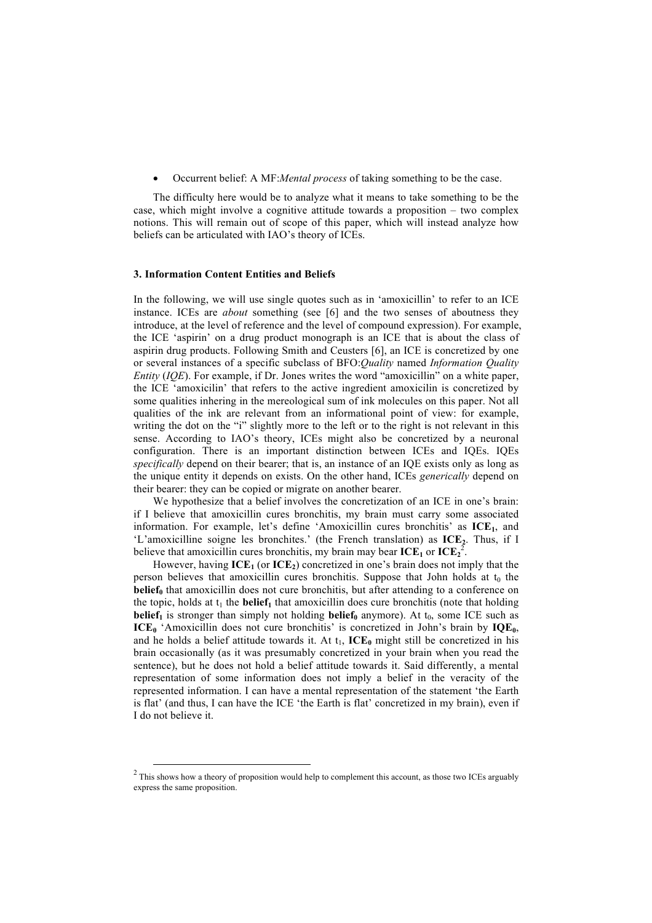• Occurrent belief: A MF:*Mental process* of taking something to be the case.

The difficulty here would be to analyze what it means to take something to be the case, which might involve a cognitive attitude towards a proposition – two complex notions. This will remain out of scope of this paper, which will instead analyze how beliefs can be articulated with IAO's theory of ICEs.

### **3. Information Content Entities and Beliefs**

In the following, we will use single quotes such as in 'amoxicillin' to refer to an ICE instance. ICEs are *about* something (see [6] and the two senses of aboutness they introduce, at the level of reference and the level of compound expression). For example, the ICE 'aspirin' on a drug product monograph is an ICE that is about the class of aspirin drug products. Following Smith and Ceusters [6], an ICE is concretized by one or several instances of a specific subclass of BFO:*Quality* named *Information Quality Entity* (*IQE*). For example, if Dr. Jones writes the word "amoxicillin" on a white paper, the ICE 'amoxicilin' that refers to the active ingredient amoxicilin is concretized by some qualities inhering in the mereological sum of ink molecules on this paper. Not all qualities of the ink are relevant from an informational point of view: for example, writing the dot on the "i" slightly more to the left or to the right is not relevant in this sense. According to IAO's theory, ICEs might also be concretized by a neuronal configuration. There is an important distinction between ICEs and IQEs. IQEs *specifically* depend on their bearer; that is, an instance of an IQE exists only as long as the unique entity it depends on exists. On the other hand, ICEs *generically* depend on their bearer: they can be copied or migrate on another bearer.

We hypothesize that a belief involves the concretization of an ICE in one's brain: if I believe that amoxicillin cures bronchitis, my brain must carry some associated information. For example, let's define 'Amoxicillin cures bronchitis' as ICE<sub>1</sub>, and 'L'amoxicilline soigne les bronchites.' (the French translation) as  $ICE<sub>2</sub>$ . Thus, if I believe that amoxicillin cures bronchitis, my brain may bear  $\text{ICE}_1$  or  $\text{ICE}_2^2$ .

However, having  $\text{ICE}_1$  (or  $\text{ICE}_2$ ) concretized in one's brain does not imply that the person believes that amoxicillin cures bronchitis. Suppose that John holds at  $t_0$  the **belief**<sub>0</sub> that amoxicillin does not cure bronchitis, but after attending to a conference on the topic, holds at  $t_1$  the **belief**<sub>1</sub> that amoxicillin does cure bronchitis (note that holding **belief**<sub>1</sub> is stronger than simply not holding **belief**<sub>0</sub> anymore). At  $t_0$ , some ICE such as **ICE**<sup>0</sup> 'Amoxicillin does not cure bronchitis' is concretized in John's brain by **IQE**<sup>0</sup>, and he holds a belief attitude towards it. At  $t_1$ ,  $\text{ICE}_0$  might still be concretized in his brain occasionally (as it was presumably concretized in your brain when you read the sentence), but he does not hold a belief attitude towards it. Said differently, a mental representation of some information does not imply a belief in the veracity of the represented information. I can have a mental representation of the statement 'the Earth is flat' (and thus, I can have the ICE 'the Earth is flat' concretized in my brain), even if I do not believe it.

 $2$  This shows how a theory of proposition would help to complement this account, as those two ICEs arguably express the same proposition.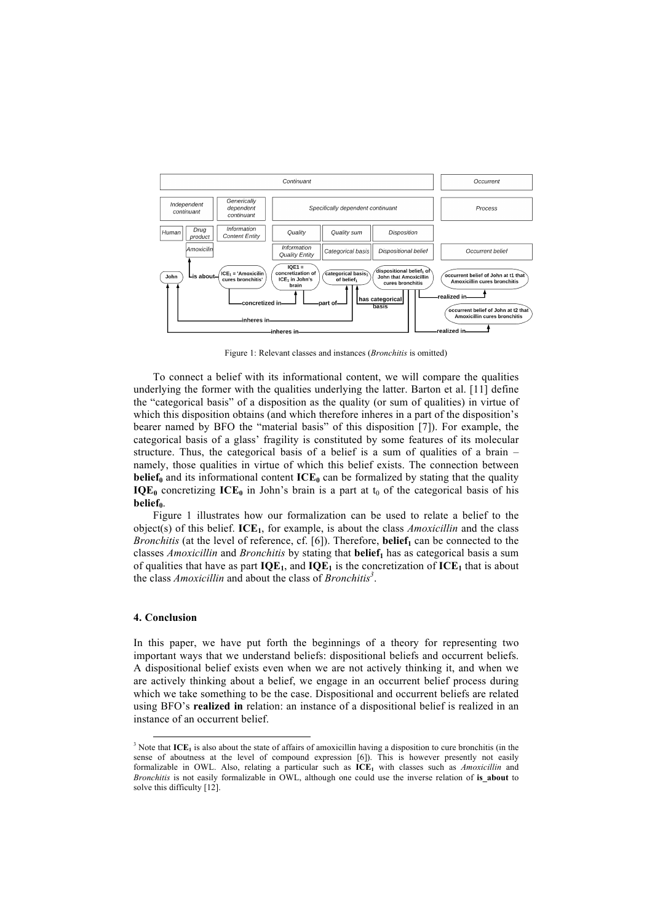

Figure 1: Relevant classes and instances (*Bronchitis* is omitted)

To connect a belief with its informational content, we will compare the qualities underlying the former with the qualities underlying the latter. Barton et al. [11] define the "categorical basis" of a disposition as the quality (or sum of qualities) in virtue of which this disposition obtains (and which therefore inheres in a part of the disposition's bearer named by BFO the "material basis" of this disposition [7]). For example, the categorical basis of a glass' fragility is constituted by some features of its molecular structure. Thus, the categorical basis of a belief is a sum of qualities of a brain – namely, those qualities in virtue of which this belief exists. The connection between **belief**<sub>0</sub> and its informational content  $ICE_0$  can be formalized by stating that the quality  $IQE_0$  concretizing  $ICE_0$  in John's brain is a part at  $t_0$  of the categorical basis of his **belief**<sub>0</sub>.

Figure 1 illustrates how our formalization can be used to relate a belief to the object(s) of this belief. **ICE1**, for example, is about the class *Amoxicillin* and the class *Bronchitis* (at the level of reference, cf.  $[6]$ ). Therefore, **belief**<sub>1</sub> can be connected to the classes *Amoxicillin* and *Bronchitis* by stating that **belief**<sub>1</sub> has as categorical basis a sum of qualities that have as part  $IQE_1$ , and  $IQE_1$  is the concretization of  $ICE_1$  that is about the class *Amoxicillin* and about the class of *Bronchitis3* .

## **4. Conclusion**

In this paper, we have put forth the beginnings of a theory for representing two important ways that we understand beliefs: dispositional beliefs and occurrent beliefs. A dispositional belief exists even when we are not actively thinking it, and when we are actively thinking about a belief, we engage in an occurrent belief process during which we take something to be the case. Dispositional and occurrent beliefs are related using BFO's **realized in** relation: an instance of a dispositional belief is realized in an instance of an occurrent belief.

 $3$  Note that  $ICE_1$  is also about the state of affairs of amoxicillin having a disposition to cure bronchitis (in the sense of aboutness at the level of compound expression [6]). This is however presently not easily formalizable in OWL. Also, relating a particular such as **ICE1** with classes such as *Amoxicillin* and *Bronchitis* is not easily formalizable in OWL, although one could use the inverse relation of **is\_about** to solve this difficulty [12].